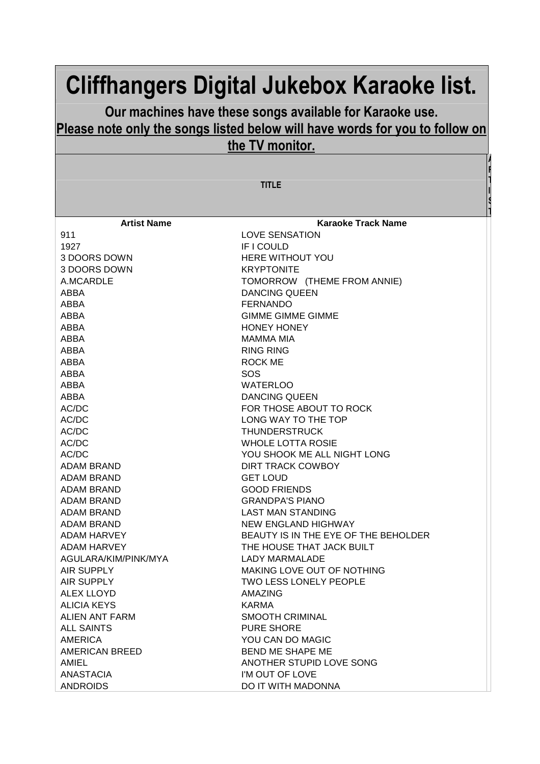## **Cliffhangers Digital Jukebox Karaoke list.**

## **Our machines have these songs available for Karaoke use. Please note only the songs listed below will have words for you to follow on the TV monitor.**

**TITLE** 

**A R T I S T**

| <b>Artist Name</b>    | <b>Karaoke Track Name</b>            |
|-----------------------|--------------------------------------|
| 911                   | LOVE SENSATION                       |
| 1927                  | IF I COULD                           |
| 3 DOORS DOWN          | <b>HERE WITHOUT YOU</b>              |
| 3 DOORS DOWN          | <b>KRYPTONITE</b>                    |
| A.MCARDLE             | TOMORROW (THEME FROM ANNIE)          |
| <b>ABBA</b>           | <b>DANCING QUEEN</b>                 |
| ABBA                  | <b>FERNANDO</b>                      |
| ABBA                  | <b>GIMME GIMME GIMME</b>             |
| ABBA                  | <b>HONEY HONEY</b>                   |
| ABBA                  | <b>MAMMA MIA</b>                     |
| ABBA                  | <b>RING RING</b>                     |
| ABBA                  | <b>ROCK ME</b>                       |
| ABBA                  | <b>SOS</b>                           |
| <b>ABBA</b>           | <b>WATERLOO</b>                      |
| ABBA                  | <b>DANCING QUEEN</b>                 |
| AC/DC                 | FOR THOSE ABOUT TO ROCK              |
| AC/DC                 | LONG WAY TO THE TOP                  |
| AC/DC                 | <b>THUNDERSTRUCK</b>                 |
| AC/DC                 | <b>WHOLE LOTTA ROSIE</b>             |
| AC/DC                 | YOU SHOOK ME ALL NIGHT LONG          |
| <b>ADAM BRAND</b>     | DIRT TRACK COWBOY                    |
| ADAM BRAND            | <b>GET LOUD</b>                      |
| ADAM BRAND            | <b>GOOD FRIENDS</b>                  |
| <b>ADAM BRAND</b>     | <b>GRANDPA'S PIANO</b>               |
| <b>ADAM BRAND</b>     | <b>LAST MAN STANDING</b>             |
| <b>ADAM BRAND</b>     | NEW ENGLAND HIGHWAY                  |
| ADAM HARVEY           | BEAUTY IS IN THE EYE OF THE BEHOLDER |
| ADAM HARVEY           | THE HOUSE THAT JACK BUILT            |
| AGULARA/KIM/PINK/MYA  | <b>LADY MARMALADE</b>                |
| <b>AIR SUPPLY</b>     | MAKING LOVE OUT OF NOTHING           |
| AIR SUPPLY            | TWO LESS LONELY PEOPLE               |
| <b>ALEX LLOYD</b>     | AMAZING                              |
| <b>ALICIA KEYS</b>    | KARMA                                |
| <b>ALIEN ANT FARM</b> | SMOOTH CRIMINAL                      |
| <b>ALL SAINTS</b>     | <b>PURE SHORE</b>                    |
| <b>AMERICA</b>        | YOU CAN DO MAGIC                     |
| <b>AMERICAN BREED</b> | BEND ME SHAPE ME                     |
| AMIEL                 | ANOTHER STUPID LOVE SONG             |
| <b>ANASTACIA</b>      | I'M OUT OF LOVE                      |
| <b>ANDROIDS</b>       | DO IT WITH MADONNA                   |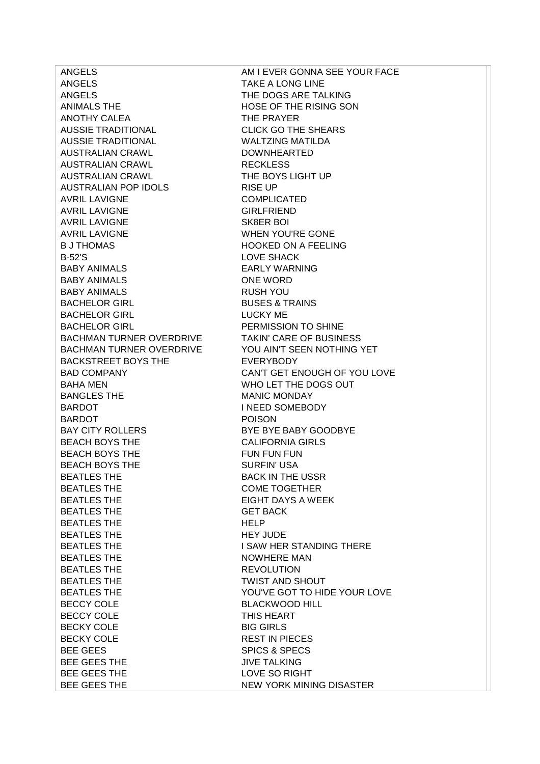ANGELS TAKE A LONG LINE ANGELS THE DOGS ARE TALKING ANIMALS THE **HOSE OF THE RISING SON** ANOTHY CALEA THE PRAYER AUSSIE TRADITIONAL CLICK GO THE SHEARS AUSSIE TRADITIONAL WALTZING MATILDA AUSTRALIAN CRAWL DOWNHEARTED AUSTRALIAN CRAWL RECKLESS AUSTRALIAN CRAWL THE BOYS LIGHT UP AUSTRALIAN POP IDOLS RISE UP AVRIL LAVIGNE COMPLICATED AVRIL LAVIGNE GIRLFRIEND AVRIL LAVIGNE SK8ER BOI AVRIL LAVIGNE WHEN YOU'RE GONE B J THOMAS HOOKED ON A FEELING B-52'S LOVE SHACK BABY ANIMALS EARLY WARNING BABY ANIMALS ONE WORD BABY ANIMALS RUSH YOU BACHELOR GIRL BUSES & TRAINS BACHELOR GIRL **EXECUTE:** LUCKY ME BACHELOR GIRL PERMISSION TO SHINE BACHMAN TURNER OVERDRIVE TAKIN' CARE OF BUSINESS BACHMAN TURNER OVERDRIVE YOU AIN'T SEEN NOTHING YET BACKSTREET BOYS THE EVERYBODY BAHA MEN BAHA MEN WHO LET THE DOGS OUT BANGLES THE MANIC MONDAY BARDOT INEED SOMEBODY BARDOT **POISON** BAY CITY ROLLERS BYE BYE BABY GOODBYE BEACH BOYS THE CALIFORNIA GIRLS BEACH BOYS THE FUN FUN FUN FUN BEACH BOYS THE SURFIN' USA BEATLES THE BACK IN THE USSR BEATLES THE COME TOGETHER BEATLES THE EIGHT DAYS A WEEK BEATLES THE GET BACK BEATLES THE **HELP** BEATLES THE **HEY JUDE** BEATLES THE **I SAW HER STANDING THERE** BEATLES THE NOWHERE MAN BEATLES THE REVOLUTION BEATLES THE TWIST AND SHOUT BECCY COLE BLACKWOOD HILL BECCY COLE THIS HEART BECKY COLE BIG GIRLS BECKY COLE REST IN PIECES BEE GEES SPICS & SPECS BEE GEES THE JIVE TALKING BEE GEES THE LOVE SO RIGHT BEE GEES THE NEW YORK MINING DISASTER

ANGELS AM I EVER GONNA SEE YOUR FACE BAD COMPANY CAN'T GET ENOUGH OF YOU LOVE BEATLES THE YOU'VE GOT TO HIDE YOUR LOVE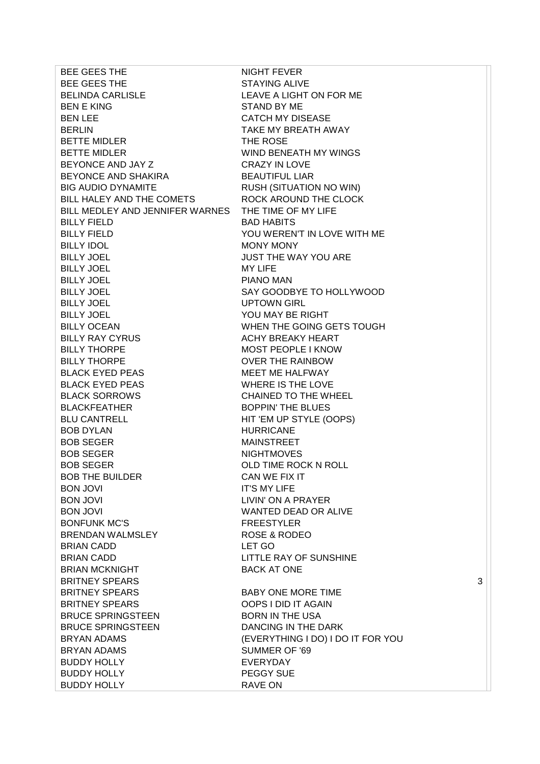BEE GEES THE NIGHT FEVER BEE GEES THE STAYING ALIVE BELINDA CARLISLE LEAVE A LIGHT ON FOR ME BEN E KING STAND BY ME BEN LEE CATCH MY DISEASE BERLIN BERLIN TAKE MY BREATH AWAY BETTE MIDLER THE ROSE BETTE MIDLER WIND BENEATH MY WINGS BEYONCE AND JAY Z CRAZY IN LOVE BEYONCE AND SHAKIRA BEAUTIFUL LIAR BIG AUDIO DYNAMITE RUSH (SITUATION NO WIN) BILL HALEY AND THE COMETS ROCK AROUND THE CLOCK BILL MEDLEY AND JENNIFER WARNES THE TIME OF MY LIFE BILLY FIELD BAD HABITS BILLY FIELD YOU WEREN'T IN LOVE WITH ME BILLY IDOL MONY MONY BILLY JOEL **A CONTROLL CONTROLLY SEE** MAY YOU ARE BILLY JOEL MY LIFE BILLY JOEL PIANO MAN BILLY JOEL SAY GOODBYE TO HOLLYWOOD BILLY JOEL UPTOWN GIRL BILLY JOEL YOU MAY BE RIGHT BILLY OCEAN WHEN THE GOING GETS TOUGH BILLY RAY CYRUS **ACHY BREAKY HEART** BILLY THORPE MOST PEOPLE I KNOW BILLY THORPE OVER THE RAINBOW BLACK EYED PEAS MEET ME HALFWAY BLACK EYED PEAS WHERE IS THE LOVE BLACK SORROWS CHAINED TO THE WHEEL BLACKFEATHER BOPPIN' THE BLUES BLU CANTRELL HIT 'EM UP STYLE (OOPS) BOB DYLAN HURRICANE BOB SEGER MAINSTREET BOB SEGER NIGHTMOVES BOB SEGER OLD TIME ROCK N ROLL BOB THE BUILDER CAN WE FIX IT BON JOVI IT'S MY LIFE BON JOVI LIVIN' ON A PRAYER BON JOVI WANTED DEAD OR ALIVE BONFUNK MC'S
SALL THE STYLER BRENDAN WALMSLEY ROSE & RODEO BRIAN CADD LET GO BRIAN CADD LITTLE RAY OF SUNSHINE BRIAN MCKNIGHT BACK AT ONE BRITNEY SPEARS 3 BRITNEY SPEARS BABY ONE MORE TIME BRITNEY SPEARS OOPS I DID IT AGAIN BRUCE SPRINGSTEEN BORN IN THE USA BRUCE SPRINGSTEEN DANCING IN THE DARK BRYAN ADAMS (EVERYTHING I DO) I DO IT FOR YOU BRYAN ADAMS SUMMER OF '69 BUDDY HOLLY EVERYDAY BUDDY HOLLY PEGGY SUE BUDDY HOLLY RAVE ON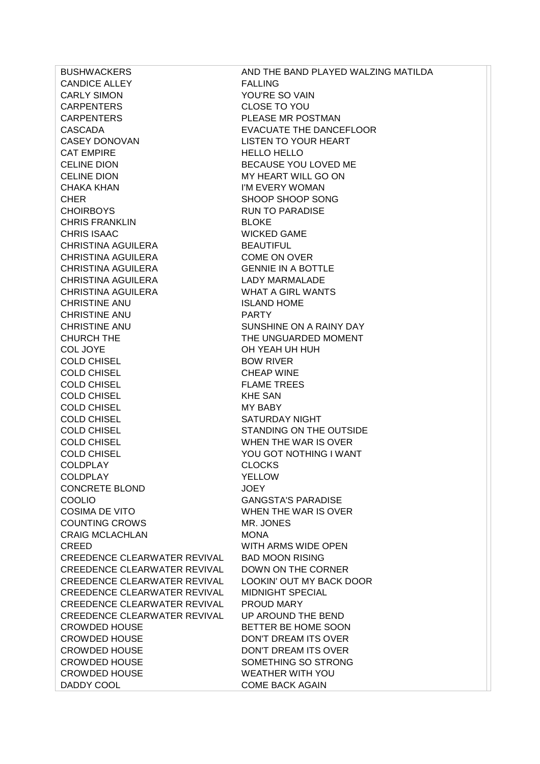CANDICE ALLEY FALLING CARLY SIMON YOU'RE SO VAIN CARPENTERS CLOSE TO YOU CARPENTERS PLEASE MR POSTMAN CASCADA EVACUATE THE DANCEFLOOR CASEY DONOVAN LISTEN TO YOUR HEART CAT EMPIRE HELLO HELLO CELINE DION BECAUSE YOU LOVED ME CELINE DION MY HEART WILL GO ON CHAKA KHAN I'M EVERY WOMAN CHER SHOOP SHOOP SONG CHOIRBOYS RUN TO PARADISE CHRIS FRANKLIN BLOKE CHRIS ISAAC WICKED GAME CHRISTINA AGUILERA BEAUTIFUL CHRISTINA AGUILERA COME ON OVER CHRISTINA AGUILERA GENNIE IN A BOTTLE CHRISTINA AGUILERA LADY MARMALADE CHRISTINA AGUILERA WHAT A GIRL WANTS CHRISTINE ANU ISLAND HOME CHRISTINE ANU PARTY CHRISTINE ANU SUNSHINE ON A RAINY DAY CHURCH THE THE UNGUARDED MOMENT COL JOYE OH YEAH UH HUH COLD CHISEL BOW RIVER COLD CHISEL COLD CHEAP WINE COLD CHISEL **FLAME TREES** COLD CHISEL KHE SAN COLD CHISEL MY BABY COLD CHISEL SATURDAY NIGHT COLD CHISEL STANDING ON THE OUTSIDE COLD CHISEL WHEN THE WAR IS OVER COLD CHISEL YOU GOT NOTHING I WANT COLDPLAY CLOCKS COLDPLAY YELLOW CONCRETE BLOND JOEY COOLIO GANGSTA'S PARADISE COSIMA DE VITO WHEN THE WAR IS OVER COUNTING CROWS MR. JONES CRAIG MCLACHLAN MONA CREED WITH ARMS WIDE OPEN CREEDENCE CLEARWATER REVIVAL BAD MOON RISING CREEDENCE CLEARWATER REVIVAL DOWN ON THE CORNER CREEDENCE CLEARWATER REVIVAL LOOKIN' OUT MY BACK DOOR CREEDENCE CLEARWATER REVIVAL MIDNIGHT SPECIAL CREEDENCE CLEARWATER REVIVAL PROUD MARY CREEDENCE CLEARWATER REVIVAL UP AROUND THE BEND CROWDED HOUSE BETTER BE HOME SOON CROWDED HOUSE DON'T DREAM ITS OVER CROWDED HOUSE DON'T DREAM ITS OVER CROWDED HOUSE SOMETHING SO STRONG CROWDED HOUSE WEATHER WITH YOU DADDY COOL COME BACK AGAIN

BUSHWACKERS **AND THE BAND PLAYED WALZING MATILDA**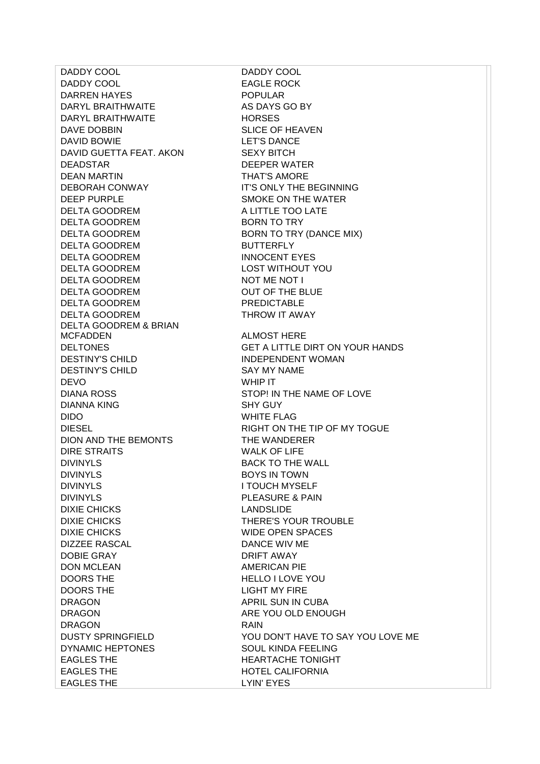DADDY COOL DADDY COOL DADDY COOL EAGLE ROCK DARREN HAYES POPULAR DARYL BRAITHWAITE AS DAYS GO BY DARYL BRAITHWAITE HORSES DAVE DOBBIN SLICE OF HEAVEN DAVID BOWIE LET'S DANCE DAVID GUETTA FEAT. AKON SEXY BITCH DEADSTAR DEEPER WATER DEAN MARTIN **THAT'S AMORE** DEBORAH CONWAY **IT'S ONLY THE BEGINNING** DEEP PURPLE SMOKE ON THE WATER DELTA GOODREM A LITTLE TOO LATE DELTA GOODREM BORN TO TRY DELTA GOODREM BORN TO TRY (DANCE MIX) DELTA GOODREM BUTTERFLY DELTA GOODREM INNOCENT EYES DELTA GOODREM LOST WITHOUT YOU DELTA GOODREM NOT ME NOT I DELTA GOODREM OUT OF THE BLUE DELTA GOODREM PREDICTABLE DELTA GOODREM THROW IT AWAY DELTA GOODREM & BRIAN MCFADDEN ALMOST HERE DESTINY'S CHILD INDEPENDENT WOMAN DESTINY'S CHILD SAY MY NAME DEVO WHIP IT DIANA ROSS STOP! IN THE NAME OF LOVE DIANNA KING SHY GUY DIDO WHITE FLAG DION AND THE BEMONTS THE WANDERER DIRE STRAITS WALK OF LIFE DIVINYLS BACK TO THE WALL DIVINYLS BOYS IN TOWN DIVINYLS I TOUCH MYSELF DIVINYLS PLEASURE & PAIN DIXIE CHICKS LANDSLIDE DIXIE CHICKS THERE'S YOUR TROUBLE DIXIE CHICKS WIDE OPEN SPACES DIZZEE RASCAL DANCE WIV ME DOBIE GRAY DRIFT AWAY DON MCLEAN AMERICAN PIE DOORS THE HELLO I LOVE YOU DOORS THE LIGHT MY FIRE DRAGON APRIL SUN IN CUBA DRAGON ARE YOU OLD ENOUGH DRAGON RAIN DYNAMIC HEPTONES SOUL KINDA FEELING EAGLES THE **HEARTACHE TONIGHT** EAGLES THE **HOTEL CALIFORNIA** EAGLES THE LYIN' EYES

DELTONES GET A LITTLE DIRT ON YOUR HANDS DIESEL RIGHT ON THE TIP OF MY TOGUE DUSTY SPRINGFIELD YOU DON'T HAVE TO SAY YOU LOVE ME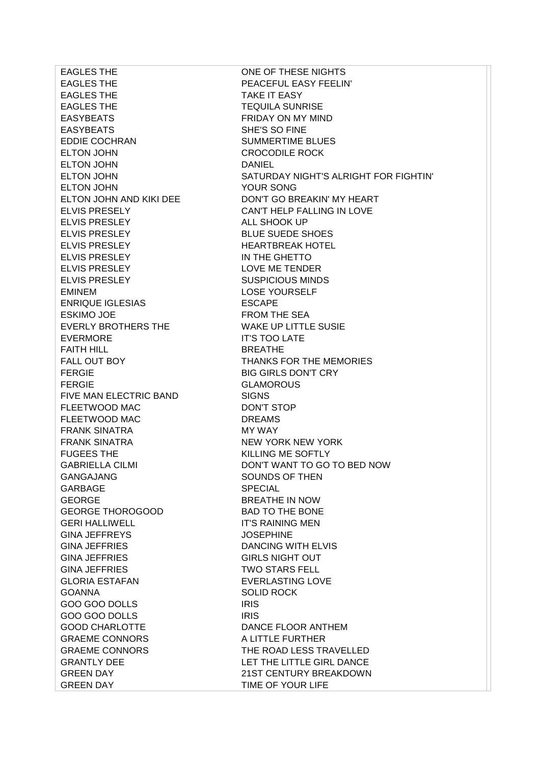EAGLES THE PEACEFUL EASY FEELIN' EAGLES THE TAKE IT EASY EAGLES THE TEQUILA SUNRISE EASYBEATS FRIDAY ON MY MIND EASYBEATS SHE'S SO FINE EDDIE COCHRAN SUMMERTIME BLUES ELTON JOHN CROCODILE ROCK ELTON JOHN DANIEL ELTON JOHN YOUR SONG ELVIS PRESLEY ALL SHOOK UP ELVIS PRESLEY BLUE SUEDE SHOES ELVIS PRESLEY HEARTBREAK HOTEL ELVIS PRESLEY IN THE GHETTO ELVIS PRESLEY LOVE ME TENDER ELVIS PRESLEY SUSPICIOUS MINDS EMINEM LOSE YOURSELF ENRIQUE IGLESIAS ESCAPE ESKIMO JOE FROM THE SEA EVERLY BROTHERS THE WAKE UP LITTLE SUSIE EVERMORE IT'S TOO LATE FAITH HILL BREATHE FERGIE BIG GIRLS DON'T CRY FERGIE GLAMOROUS FIVE MAN ELECTRIC BAND SIGNS FLEETWOOD MAC DON'T STOP FLEETWOOD MAC DREAMS FRANK SINATRA MY WAY FRANK SINATRA NEW YORK NEW YORK FUGEES THE KILLING ME SOFTLY GANGAJANG SOUNDS OF THEN GARBAGE SPECIAL GEORGE BREATHE IN NOW GEORGE THOROGOOD BAD TO THE BONE GERI HALLIWELL **IT'S RAINING MEN** GINA JEFFREYS JOSEPHINE GINA JEFFRIES DANCING WITH ELVIS GINA JEFFRIES GIRLS NIGHT OUT GINA JEFFRIES TWO STARS FELL GLORIA ESTAFAN EVERLASTING LOVE GOANNA SOLID ROCK GOO GOO DOLLS IRIS GOO GOO DOLLS IRIS GOOD CHARLOTTE DANCE FLOOR ANTHEM GRAEME CONNORS A LITTLE FURTHER GREEN DAY **TIME OF YOUR LIFE** 

EAGLES THE ONE OF THESE NIGHTS ELTON JOHN SATURDAY NIGHT'S ALRIGHT FOR FIGHTIN' ELTON JOHN AND KIKI DEE DON'T GO BREAKIN' MY HEART ELVIS PRESELY CAN'T HELP FALLING IN LOVE FALL OUT BOY **THANKS FOR THE MEMORIES** GABRIELLA CILMI DON'T WANT TO GO TO BED NOW GRAEME CONNORS THE ROAD LESS TRAVELLED GRANTLY DEE LET THE LITTLE GIRL DANCE GREEN DAY 21ST CENTURY BREAKDOWN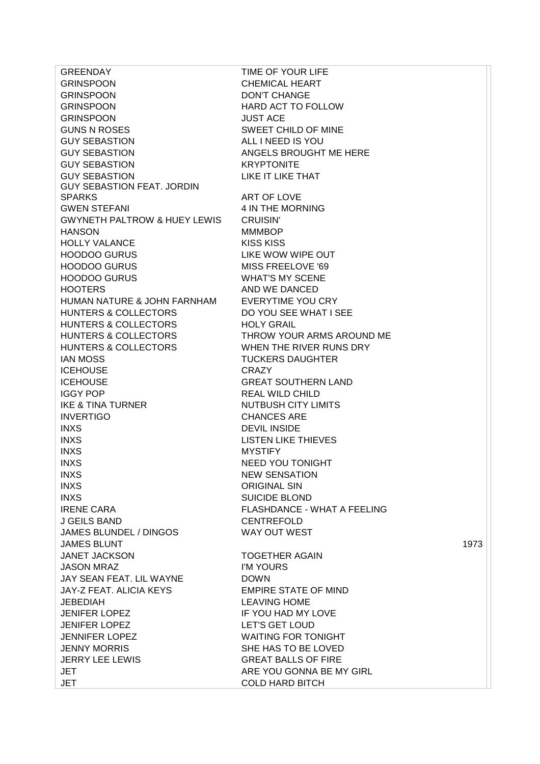GRINSPOON CHEMICAL HEART GRINSPOON DON'T CHANGE GRINSPOON HARD ACT TO FOLLOW GRINSPOON JUST ACE GUNS N ROSES SWEET CHILD OF MINE GUY SEBASTION ALL I NEED IS YOU GUY SEBASTION ANGELS BROUGHT ME HERE GUY SEBASTION KRYPTONITE GUY SEBASTION LIKE IT LIKE THAT GUY SEBASTION FEAT. JORDIN SPARKS ART OF LOVE GWEN STEFANI 4 IN THE MORNING GWYNETH PALTROW & HUEY LEWIS CRUISIN' HANSON MMMBOP HOLLY VALANCE KISS KISS HOODOO GURUS LIKE WOW WIPE OUT HOODOO GURUS MISS FREELOVE '69 HOODOO GURUS WHAT'S MY SCENE HOOTERS AND WE DANCED HUMAN NATURE & JOHN FARNHAM EVERYTIME YOU CRY HUNTERS & COLLECTORS DO YOU SEE WHAT I SEE HUNTERS & COLLECTORS HOLY GRAIL HUNTERS & COLLECTORS THROW YOUR ARMS AROUND ME HUNTERS & COLLECTORS WHEN THE RIVER RUNS DRY **IAN MOSS TUCKERS DAUGHTER** ICEHOUSE CRAZY ICEHOUSE GREAT SOUTHERN LAND IGGY POP REAL WILD CHILD IKE & TINA TURNER NUTBUSH CITY LIMITS INVERTIGO CHANCES ARE INXS DEVIL INSIDE INXS LISTEN LIKE THIEVES INXS MYSTIFY INXS NEED YOU TONIGHT INXS NEW SENSATION INXS ORIGINAL SIN INXS SUICIDE BLOND IRENE CARA FLASHDANCE - WHAT A FEELING J GEILS BAND CENTREFOLD JAMES BLUNDEL / DINGOS WAY OUT WEST JANET JACKSON TOGETHER AGAIN JASON MRAZ I'M YOURS JAY SEAN FEAT. LIL WAYNE DOWN JAY-Z FEAT. ALICIA KEYS EMPIRE STATE OF MIND JEBEDIAH LEAVING HOME JENIFER LOPEZ IF YOU HAD MY LOVE JENIFER LOPEZ LET'S GET LOUD JENNIFER LOPEZ WAITING FOR TONIGHT JENNY MORRIS SHE HAS TO BE LOVED JERRY LEE LEWIS GREAT BALLS OF FIRE JET ARE YOU GONNA BE MY GIRL JET COLD HARD BITCH

GREENDAY TIME OF YOUR LIFE JAMES BLUNT 1973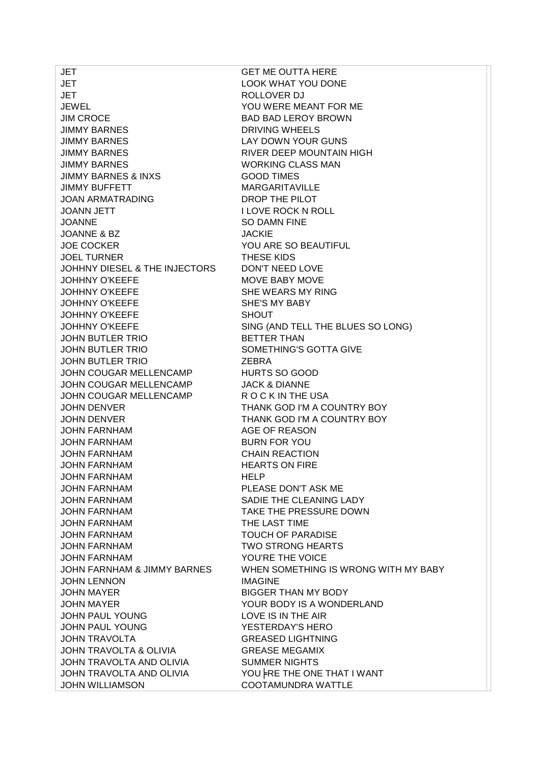JET GET ME OUTTA HERE **JET LOOK WHAT YOU DONE** JET ROLLOVER DJ JEWEL YOU WERE MEANT FOR ME JIM CROCE BAD BAD LEROY BROWN JIMMY BARNES DRIVING WHEELS JIMMY BARNES LAY DOWN YOUR GUNS JIMMY BARNES RIVER DEEP MOUNTAIN HIGH JIMMY BARNES WORKING CLASS MAN JIMMY BARNES & INXS GOOD TIMES JIMMY BUFFETT MARGARITAVILLE JOAN ARMATRADING DROP THE PILOT JOANN JETT I LOVE ROCK N ROLL JOANNE SO DAMN FINE JOANNE & BZ JACKIE JOE COCKER YOU ARE SO BEAUTIFUL JOEL TURNER THESE KIDS JOHHNY DIESEL & THE INJECTORS DON'T NEED LOVE JOHHNY O'KEEFE MOVE BABY MOVE JOHHNY O'KEEFE SHE WEARS MY RING JOHHNY O'KEEFE SHE'S MY BABY JOHHNY O'KEEFE SHOUT JOHN BUTLER TRIO BETTER THAN JOHN BUTLER TRIO SOMETHING'S GOTTA GIVE JOHN BUTLER TRIO ZEBRA JOHN COUGAR MELLENCAMP HURTS SO GOOD JOHN COUGAR MELLENCAMP JACK & DIANNE JOHN COUGAR MELLENCAMP R O C K IN THE USA JOHN DENVER THANK GOD I'M A COUNTRY BOY JOHN DENVER THANK GOD I'M A COUNTRY BOY JOHN FARNHAM AGE OF REASON JOHN FARNHAM BURN FOR YOU JOHN FARNHAM CHAIN REACTION JOHN FARNHAM HEARTS ON FIRE JOHN FARNHAM HELP JOHN FARNHAM PLEASE DON'T ASK ME JOHN FARNHAM SADIE THE CLEANING LADY JOHN FARNHAM TAKE THE PRESSURE DOWN JOHN FARNHAM THE LAST TIME JOHN FARNHAM TOUCH OF PARADISE JOHN FARNHAM TWO STRONG HEARTS JOHN FARNHAM YOU'RE THE VOICE JOHN LENNON IMAGINE JOHN MAYER BIGGER THAN MY BODY JOHN MAYER YOUR BODY IS A WONDERLAND JOHN PAUL YOUNG LOVE IS IN THE AIR JOHN PAUL YOUNG YESTERDAY'S HERO JOHN TRAVOLTA GREASED LIGHTNING JOHN TRAVOLTA & OLIVIA GREASE MEGAMIX JOHN TRAVOLTA AND OLIVIA SUMMER NIGHTS JOHN TRAVOLTA AND OLIVIA YOU FRE THE ONE THAT I WANT JOHN WILLIAMSON COOTAMUNDRA WATTLE

JOHHNY O'KEEFE SING (AND TELL THE BLUES SO LONG) JOHN FARNHAM & JIMMY BARNES WHEN SOMETHING IS WRONG WITH MY BABY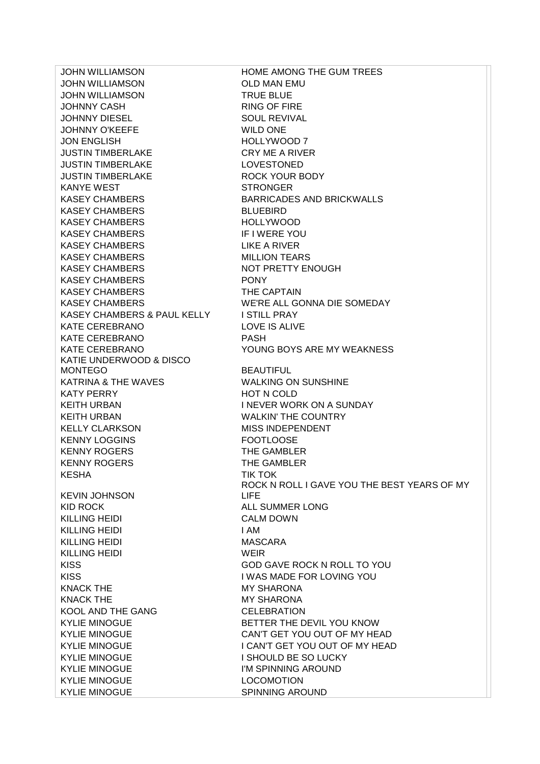JOHN WILLIAMSON OLD MAN EMU JOHN WILLIAMSON TRUE BLUE JOHNNY CASH RING OF FIRE JOHNNY DIESEL SOUL REVIVAL JOHNNY O'KEEFE WILD ONE JON ENGLISH HOLLYWOOD 7 JUSTIN TIMBERLAKE CRY ME A RIVER JUSTIN TIMBERLAKE LOVESTONED JUSTIN TIMBERLAKE ROCK YOUR BODY KANYE WEST STRONGER KASEY CHAMBERS BARRICADES AND BRICKWALLS KASEY CHAMBERS BLUEBIRD KASEY CHAMBERS HOLLYWOOD KASEY CHAMBERS IF I WERE YOU KASEY CHAMBERS LIKE A RIVER KASEY CHAMBERS MILLION TEARS KASEY CHAMBERS NOT PRETTY ENOUGH KASEY CHAMBERS PONY KASEY CHAMBERS THE CAPTAIN KASEY CHAMBERS WE'RE ALL GONNA DIE SOMEDAY KASEY CHAMBERS & PAUL KELLY ISTILL PRAY KATE CEREBRANO LOVE IS ALIVE KATE CEREBRANO PASH KATIE UNDERWOOD & DISCO MONTEGO BEAUTIFUL KATRINA & THE WAVES WALKING ON SUNSHINE KATY PERRY HOT N COLD KEITH URBAN **INEVER WORK ON A SUNDAY** KEITH URBAN WALKIN' THE COUNTRY KELLY CLARKSON MISS INDEPENDENT KENNY LOGGINS FOOTLOOSE KENNY ROGERS THE GAMBLER KENNY ROGERS THE GAMBLER KESHA TIK TOK KEVIN JOHNSON KID ROCK ALL SUMMER LONG KILLING HEIDI CALM DOWN KILLING HEIDI I AM KILLING HEIDI MASCARA KILLING HEIDI WEIR KISS GOD GAVE ROCK N ROLL TO YOU KISS I WAS MADE FOR LOVING YOU KNACK THE MY SHARONA KNACK THE MY SHARONA KOOL AND THE GANG CELEBRATION KYLIE MINOGUE BETTER THE DEVIL YOU KNOW KYLIE MINOGUE CAN'T GET YOU OUT OF MY HEAD KYLIE MINOGUE **I SHOULD BE SO LUCKY** KYLIE MINOGUE **I'M SPINNING AROUND** KYLIE MINOGUE **LOCOMOTION** 

JOHN WILLIAMSON HOME AMONG THE GUM TREES KATE CEREBRANO YOUNG BOYS ARE MY WEAKNESS ROCK N ROLL I GAVE YOU THE BEST YEARS OF MY LIFE KYLIE MINOGUE **I CAN'T GET YOU OUT OF MY HEAD** KYLIE MINOGUE SPINNING AROUND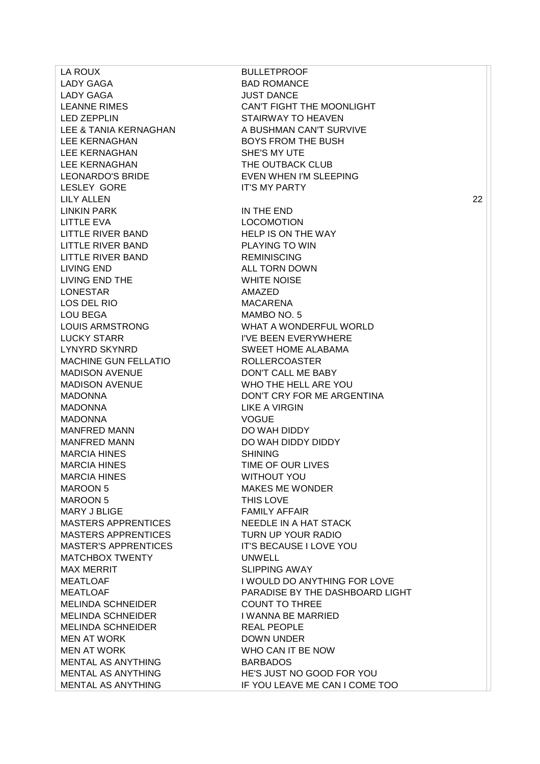LA ROUX BULLETPROOF LADY GAGA BAD ROMANCE LADY GAGA JUST DANCE LEE KERNAGHAN SHE'S MY UTE LEE KERNAGHAN THE OUTBACK CLUB LESLEY GORE IT'S MY PARTY LINKIN PARK IN THE END LITTLE EVA LOCOMOTION LITTLE RIVER BAND HELP IS ON THE WAY LITTLE RIVER BAND PLAYING TO WIN LITTLE RIVER BAND REMINISCING LIVING END ALL TORN DOWN LIVING END THE WHITE NOISE LONESTAR AMAZED LOS DEL RIO MACARENA LOU BEGA MAMBO NO. 5 MACHINE GUN FELLATIO ROLLERCOASTER MADISON AVENUE DON'T CALL ME BABY MADONNA LIKE A VIRGIN MADONNA VOGUE MANFRED MANN DO WAH DIDDY MANFRED MANN DO WAH DIDDY DIDDY MARCIA HINES SHINING MARCIA HINES TIME OF OUR LIVES MARCIA HINES WITHOUT YOU MAROON 5 MAKES ME WONDER MAROON 5 THIS LOVE MARY J BLIGE FAMILY AFFAIR MATCHBOX TWENTY UNWELL MAX MERRIT SALIPPING AWAY MELINDA SCHNEIDER COUNT TO THREE MELINDA SCHNEIDER I WANNA BE MARRIED MELINDA SCHNEIDER REAL PEOPLE MEN AT WORK DOWN UNDER MEN AT WORK WHO CAN IT BE NOW MENTAL AS ANYTHING BARBADOS

LEANNE RIMES CAN'T FIGHT THE MOONLIGHT LED ZEPPLIN STAIRWAY TO HEAVEN LEE & TANIA KERNAGHAN A BUSHMAN CAN'T SURVIVE LEE KERNAGHAN BOYS FROM THE BUSH LEONARDO'S BRIDE EVEN WHEN I'M SLEEPING LILY ALLEN 22 LOUIS ARMSTRONG WHAT A WONDERFUL WORLD LUCKY STARR IN THE BEEN EVERYWHERE LYNYRD SKYNRD SWEET HOME ALABAMA MADISON AVENUE WHO THE HELL ARE YOU MADONNA DON'T CRY FOR ME ARGENTINA MASTERS APPRENTICES NEEDLE IN A HAT STACK MASTERS APPRENTICES TURN UP YOUR RADIO MASTER'S APPRENTICES IT'S BECAUSE I LOVE YOU MEATLOAF **I WOULD DO ANYTHING FOR LOVE** MEATLOAF PARADISE BY THE DASHBOARD LIGHT MENTAL AS ANYTHING HE'S JUST NO GOOD FOR YOU MENTAL AS ANYTHING IF YOU LEAVE ME CAN I COME TOO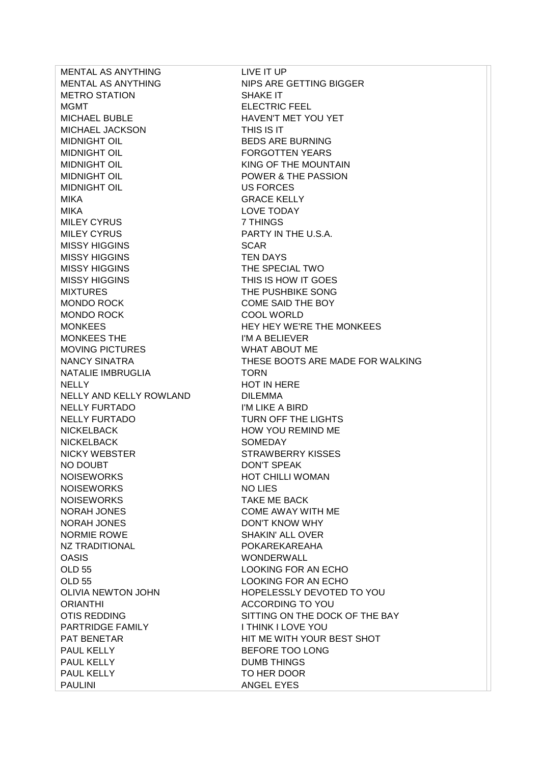MENTAL AS ANYTHING LIVE IT UP MENTAL AS ANYTHING NIPS ARE GETTING BIGGER METRO STATION SHAKE IT MGMT BELECTRIC FEEL MICHAEL BUBLE HAVEN'T MET YOU YET MICHAEL JACKSON THIS IS IT MIDNIGHT OIL BEDS ARE BURNING MIDNIGHT OIL **EXECUTE:** FORGOTTEN YEARS MIDNIGHT OIL **KING OF THE MOUNTAIN** MIDNIGHT OIL POWER & THE PASSION MIDNIGHT OIL US FORCES MIKA GRACE KELLY MIKA LOVE TODAY MILEY CYRUS 7 THINGS MILEY CYRUS **EXECUTE:** PARTY IN THE U.S.A. MISSY HIGGINS SCAR MISSY HIGGINS TEN DAYS MISSY HIGGINS **THE SPECIAL TWO** MISSY HIGGINS **THIS IS HOW IT GOES** MIXTURES THE PUSHBIKE SONG MONDO ROCK COME SAID THE BOY MONDO ROCK COOL WORLD MONKEES THE I'M A BELIEVER MOVING PICTURES WHAT ABOUT ME NATALIE IMBRUGLIA TORN NELLY NELLY **HOT IN HERE** NELLY AND KELLY ROWLAND DILEMMA NELLY FURTADO I'M LIKE A BIRD NELLY FURTADO TURN OFF THE LIGHTS NICKELBACK HOW YOU REMIND ME NICKELBACK SOMEDAY NICKY WEBSTER STRAWBERRY KISSES NO DOUBT DON'T SPEAK NOISEWORKS HOT CHILLI WOMAN NOISEWORKS NO LIES NOISEWORKS TAKE ME BACK NORAH JONES COME AWAY WITH ME NORAH JONES DON'T KNOW WHY NORMIE ROWE SHAKIN' ALL OVER NZ TRADITIONAL POKAREKAREAHA OASIS WONDERWALL OLD 55 LOOKING FOR AN ECHO OLD 55 LOOKING FOR AN ECHO ORIANTHI ACCORDING TO YOU PARTRIDGE FAMILY ITHINK I LOVE YOU PAUL KELLY BEFORE TOO LONG PAUL KELLY DUMB THINGS PAUL KELLY TO HER DOOR PAULINI ANGEL EYES

MONKEES **HEY HEY WE'RE THE MONKEES** NANCY SINATRA THESE BOOTS ARE MADE FOR WALKING OLIVIA NEWTON JOHN HOPELESSLY DEVOTED TO YOU OTIS REDDING SITTING ON THE DOCK OF THE BAY PAT BENETAR **HIT ME WITH YOUR BEST SHOT**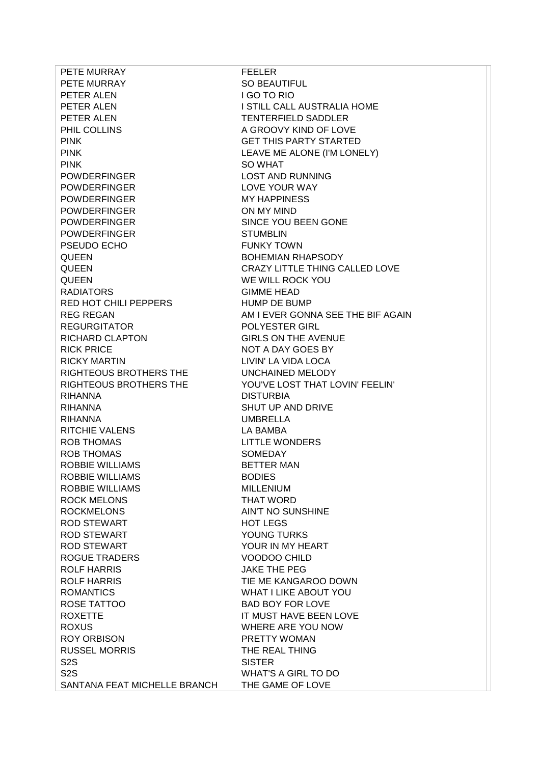PETE MURRAY FEELER PETE MURRAY SO BEAUTIFUL PETER ALEN I GO TO RIO PETER ALEN TENTERFIELD SADDLER PHIL COLLINS A GROOVY KIND OF LOVE PINK GET THIS PARTY STARTED PINK SO WHAT POWDERFINGER LOST AND RUNNING POWDERFINGER LOVE YOUR WAY POWDERFINGER MY HAPPINESS POWDERFINGER ON MY MIND POWDERFINGER SINCE YOU BEEN GONE POWDERFINGER STUMBLIN PSEUDO ECHO **FUNKY TOWN** QUEEN BOHEMIAN RHAPSODY QUEEN WE WILL ROCK YOU RADIATORS GIMME HEAD RED HOT CHILI PEPPERS HUMP DE BUMP REGURGITATOR POLYESTER GIRL RICHARD CLAPTON GIRLS ON THE AVENUE RICK PRICE NOT A DAY GOES BY RICKY MARTIN LIVIN' LA VIDA LOCA RIGHTEOUS BROTHERS THE UNCHAINED MELODY RIHANNA DISTURBIA RIHANNA SHUT UP AND DRIVE RIHANNA UMBRELLA RITCHIE VALENS LA BAMBA ROB THOMAS LITTLE WONDERS ROB THOMAS SOMEDAY ROBBIE WILLIAMS BETTER MAN ROBBIE WILLIAMS BODIES ROBBIE WILLIAMS MILLENIUM ROCK MELONS THAT WORD ROCKMELONS AIN'T NO SUNSHINE ROD STEWART HOT LEGS ROD STEWART YOUNG TURKS ROD STEWART YOUR IN MY HEART ROGUE TRADERS VOODOO CHILD ROLF HARRIS JAKE THE PEG ROLF HARRIS TIE ME KANGAROO DOWN ROMANTICS WHAT I LIKE ABOUT YOU ROSE TATTOO BAD BOY FOR LOVE ROXETTE **IT MUST HAVE BEEN LOVE** ROXUS WHERE ARE YOU NOW ROY ORBISON PRETTY WOMAN RUSSEL MORRIS THE REAL THING S<sub>2S</sub> SISTER S2S WHAT'S A GIRL TO DO SANTANA FEAT MICHELLE BRANCH THE GAME OF LOVE

PETER ALEN **ISTILL CALL AUSTRALIA HOME** PINK PINK EXAMPLE EXAMPLE ALONE (I'M LONELY) QUEEN CRAZY LITTLE THING CALLED LOVE REG REGAN AM I EVER GONNA SEE THE BIF AGAIN RIGHTEOUS BROTHERS THE YOU'VE LOST THAT LOVIN' FEELIN'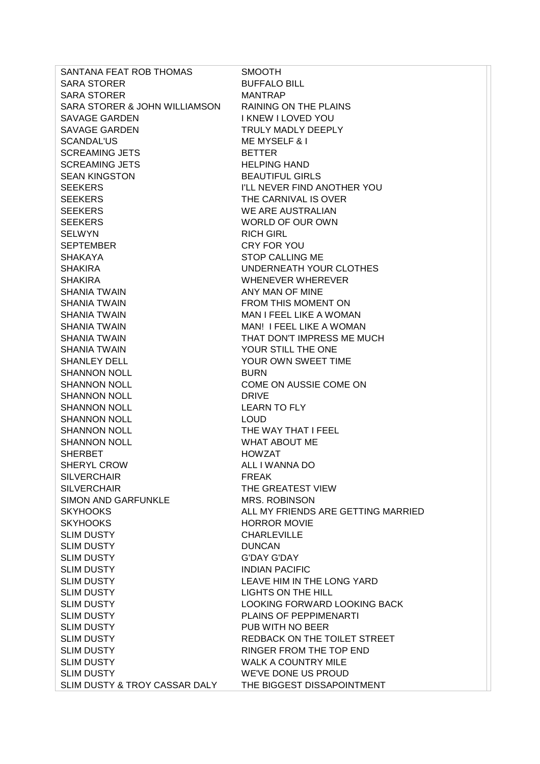| SANTANA FEAT ROB THOMAS       | <b>SMOOTH</b>                      |
|-------------------------------|------------------------------------|
| <b>SARA STORER</b>            | <b>BUFFALO BILL</b>                |
| <b>SARA STORER</b>            | <b>MANTRAP</b>                     |
| SARA STORER & JOHN WILLIAMSON | <b>RAINING ON THE PLAINS</b>       |
| SAVAGE GARDEN                 | I KNEW I LOVED YOU                 |
| <b>SAVAGE GARDEN</b>          | TRULY MADLY DEEPLY                 |
| <b>SCANDAL'US</b>             | <b>ME MYSELF &amp; I</b>           |
| <b>SCREAMING JETS</b>         | <b>BETTER</b>                      |
| <b>SCREAMING JETS</b>         | <b>HELPING HAND</b>                |
| <b>SEAN KINGSTON</b>          | <b>BEAUTIFUL GIRLS</b>             |
| <b>SEEKERS</b>                | I'LL NEVER FIND ANOTHER YOU        |
| <b>SEEKERS</b>                | THE CARNIVAL IS OVER               |
| <b>SEEKERS</b>                | WE ARE AUSTRALIAN                  |
| <b>SEEKERS</b>                | WORLD OF OUR OWN                   |
| <b>SELWYN</b>                 | <b>RICH GIRL</b>                   |
| <b>SEPTEMBER</b>              | CRY FOR YOU                        |
| <b>SHAKAYA</b>                | <b>STOP CALLING ME</b>             |
| <b>SHAKIRA</b>                | UNDERNEATH YOUR CLOTHES            |
| <b>SHAKIRA</b>                | WHENEVER WHEREVER                  |
| <b>SHANIA TWAIN</b>           | ANY MAN OF MINE                    |
| <b>SHANIA TWAIN</b>           | FROM THIS MOMENT ON                |
| <b>SHANIA TWAIN</b>           | MAN I FEEL LIKE A WOMAN            |
| <b>SHANIA TWAIN</b>           | MAN! I FEEL LIKE A WOMAN           |
| <b>SHANIA TWAIN</b>           | THAT DON'T IMPRESS ME MUCH         |
| <b>SHANIA TWAIN</b>           | YOUR STILL THE ONE                 |
| <b>SHANLEY DELL</b>           | YOUR OWN SWEET TIME                |
| <b>SHANNON NOLL</b>           | <b>BURN</b>                        |
| <b>SHANNON NOLL</b>           | COME ON AUSSIE COME ON             |
| <b>SHANNON NOLL</b>           | <b>DRIVE</b>                       |
| <b>SHANNON NOLL</b>           | <b>LEARN TO FLY</b>                |
| <b>SHANNON NOLL</b>           | <b>LOUD</b>                        |
| <b>SHANNON NOLL</b>           | THE WAY THAT I FEEL                |
| <b>SHANNON NOLL</b>           | <b>WHAT ABOUT ME</b>               |
| <b>SHERBET</b>                | <b>HOWZAT</b>                      |
| SHERYL CROW                   | ALL I WANNA DO                     |
| <b>SILVERCHAIR</b>            | <b>FREAK</b>                       |
| <b>SILVERCHAIR</b>            | THE GREATEST VIEW                  |
| <b>SIMON AND GARFUNKLE</b>    | <b>MRS. ROBINSON</b>               |
| <b>SKYHOOKS</b>               | ALL MY FRIENDS ARE GETTING MARRIED |
| <b>SKYHOOKS</b>               | <b>HORROR MOVIE</b>                |
| <b>SLIM DUSTY</b>             | <b>CHARLEVILLE</b>                 |
| <b>SLIM DUSTY</b>             | <b>DUNCAN</b>                      |
| <b>SLIM DUSTY</b>             | <b>G'DAY G'DAY</b>                 |
| <b>SLIM DUSTY</b>             | <b>INDIAN PACIFIC</b>              |
| <b>SLIM DUSTY</b>             | LEAVE HIM IN THE LONG YARD         |
| <b>SLIM DUSTY</b>             | LIGHTS ON THE HILL                 |
| <b>SLIM DUSTY</b>             | LOOKING FORWARD LOOKING BACK       |
| <b>SLIM DUSTY</b>             | PLAINS OF PEPPIMENARTI             |
| <b>SLIM DUSTY</b>             | PUB WITH NO BEER                   |
| <b>SLIM DUSTY</b>             | REDBACK ON THE TOILET STREET       |
| <b>SLIM DUSTY</b>             | RINGER FROM THE TOP END            |
| <b>SLIM DUSTY</b>             | <b>WALK A COUNTRY MILE</b>         |
| <b>SLIM DUSTY</b>             | WE'VE DONE US PROUD                |
|                               |                                    |
| SLIM DUSTY & TROY CASSAR DALY | THE BIGGEST DISSAPOINTMENT         |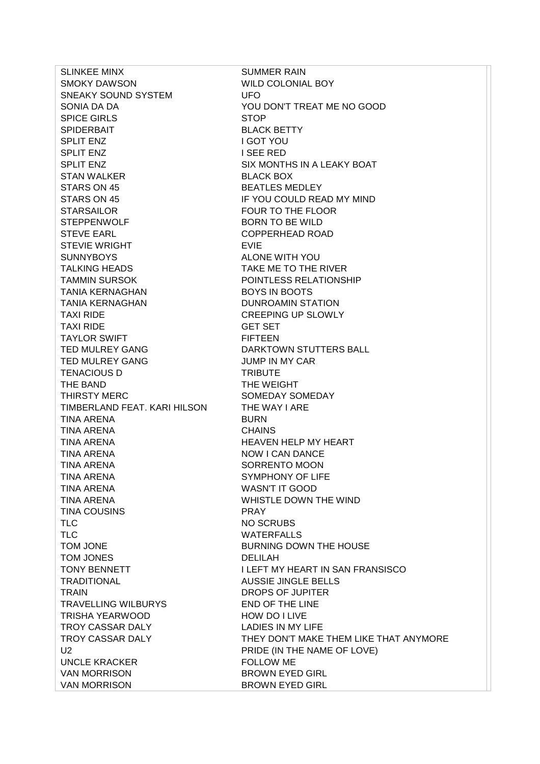SLINKEE MINX SUMMER RAIN SMOKY DAWSON WILD COLONIAL BOY SNEAKY SOUND SYSTEM UFO SPICE GIRLS STOP SPIDERBAIT BLACK BETTY SPLIT ENZ I GOT YOU SPLIT ENZ I SEE RED SPLIT ENZ SIX MONTHS IN A LEAKY BOAT STAN WALKER BLACK BOX STARS ON 45 BEATLES MEDLEY STARS ON 45 **IF YOU COULD READ MY MIND** STARSAILOR **FOUR TO THE FLOOR** STEPPENWOLF BORN TO BE WILD STEVE EARL COPPERHEAD ROAD STEVIE WRIGHT **EXIE** SUNNYBOYS ALONE WITH YOU TALKING HEADS TAKE ME TO THE RIVER TAMMIN SURSOK POINTLESS RELATIONSHIP TANIA KERNAGHAN BOYS IN BOOTS TANIA KERNAGHAN DUNROAMIN STATION TAXI RIDE **CREEPING UP SLOWLY** TAXI RIDE GET SET TAYLOR SWIFT FIFTEEN TED MULREY GANG **EXAMPLE A REALL STARKTOWN STUTTERS BALL** TED MULREY GANG **IN THE SAMING WAS SERVED METALLY OF SAMING WATER** TENACIOUS D TRIBUTE THE BAND **THE WEIGHT** THIRSTY MERC SOMEDAY SOMEDAY TIMBERLAND FEAT. KARI HILSON THE WAY I ARE TINA ARENA BURN TINA ARENA CHAINS TINA ARENA HEAVEN HEAVEN HELP MY HEART TINA ARENA NOW I CAN DANCE TINA ARENA SORRENTO MOON TINA ARENA SYMPHONY OF LIFE TINA ARENA WASN'T IT GOOD TINA ARENA WHISTLE DOWN THE WIND TINA COUSINS PRAY TLC NO SCRUBS TLC WATERFALLS TOM JONE **BURNING DOWN THE HOUSE** TOM JONES DELILAH TRADITIONAL AUSSIE JINGLE BELLS TRAIN DROPS OF JUPITER TRAVELLING WILBURYS END OF THE LINE TRISHA YEARWOOD HOW DO I LIVE TROY CASSAR DALY LADIES IN MY LIFE UNCLE KRACKER FOLLOW ME VAN MORRISON BROWN EYED GIRL VAN MORRISON BROWN EYED GIRL

SONIA DA DA YOU DON'T TREAT ME NO GOOD TONY BENNETT IN SAN FRANSISCO TROY CASSAR DALY THEY DON'T MAKE THEM LIKE THAT ANYMORE U2 **PRIDE (IN THE NAME OF LOVE)**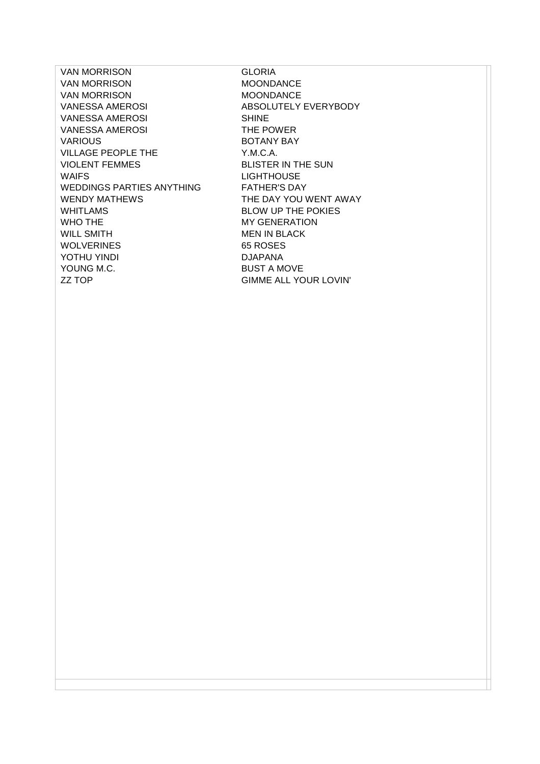VAN MORRISON GLORIA VAN MORRISON MOONDANCE VAN MORRISON MOONDANCE VANESSA AMEROSI ABSOLUTELY EVERYBODY VANESSA AMEROSI SHINE VANESSA AMEROSI THE POWER VARIOUS BOTANY BAY VILLAGE PEOPLE THE Y.M.C.A. VIOLENT FEMMES BLISTER IN THE SUN WAIFS **LIGHTHOUSE** WEDDINGS PARTIES ANYTHING FATHER'S DAY WENDY MATHEWS THE DAY YOU WENT AWAY WHITLAMS BLOW UP THE POKIES WHO THE MY GENERATION WILL SMITH **MEN IN BLACK** WOLVERINES 65 ROSES YOTHU YINDI DJAPANA YOUNG M.C. BUST A MOVE ZZ TOP GIMME ALL YOUR LOVIN'